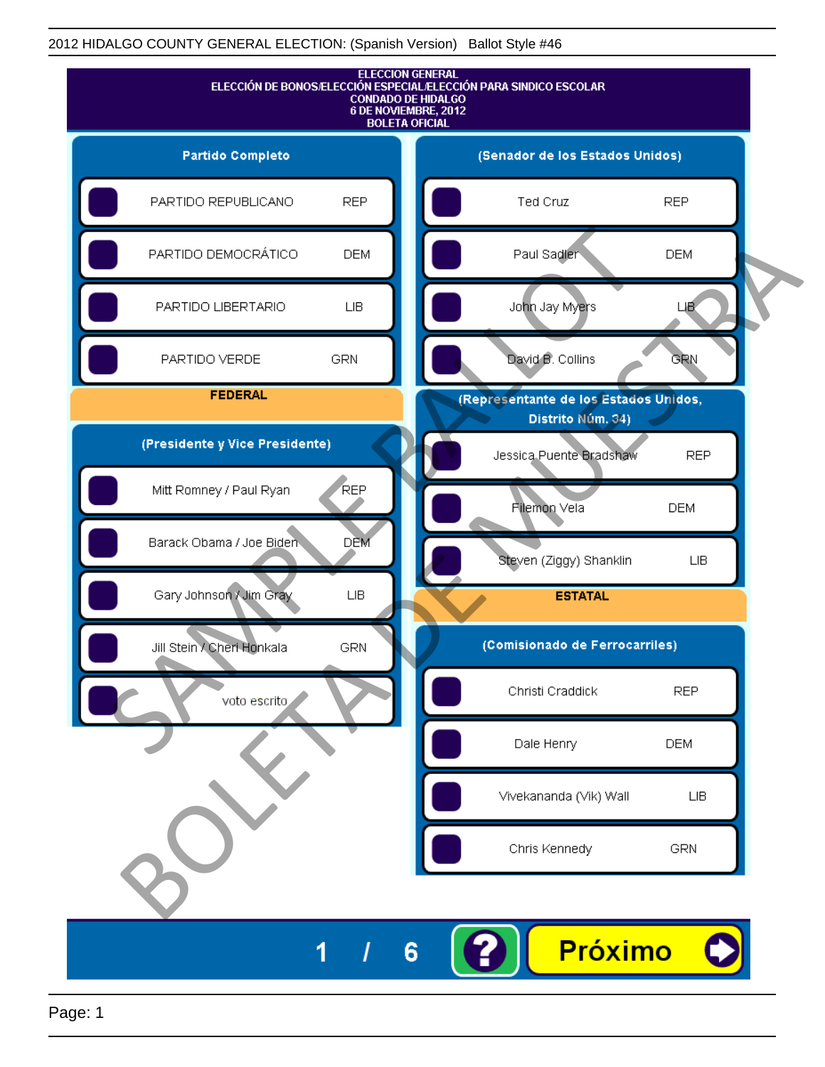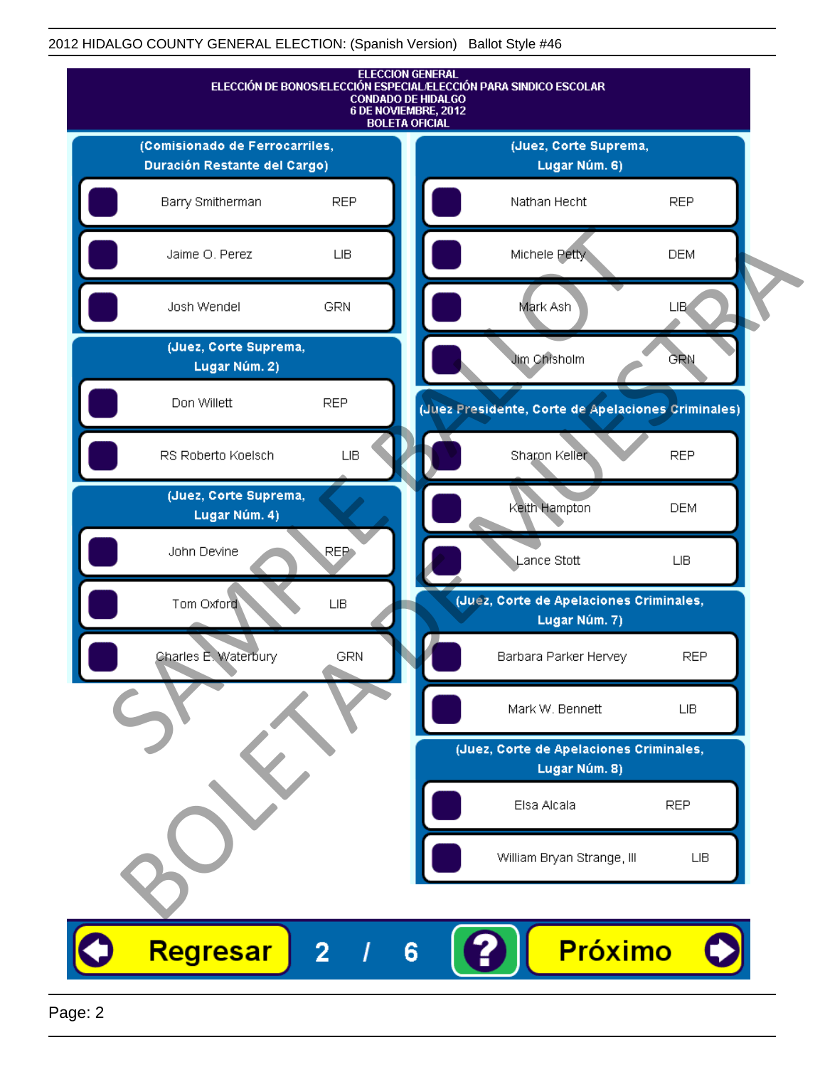

Page: 2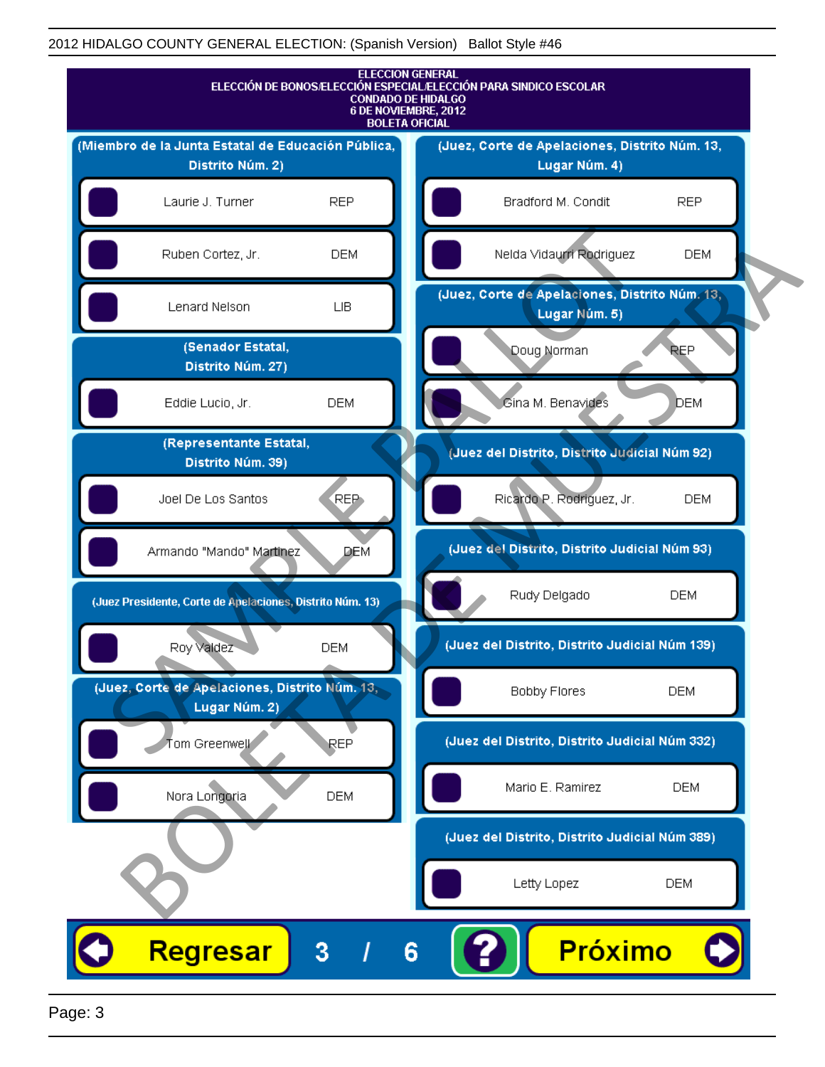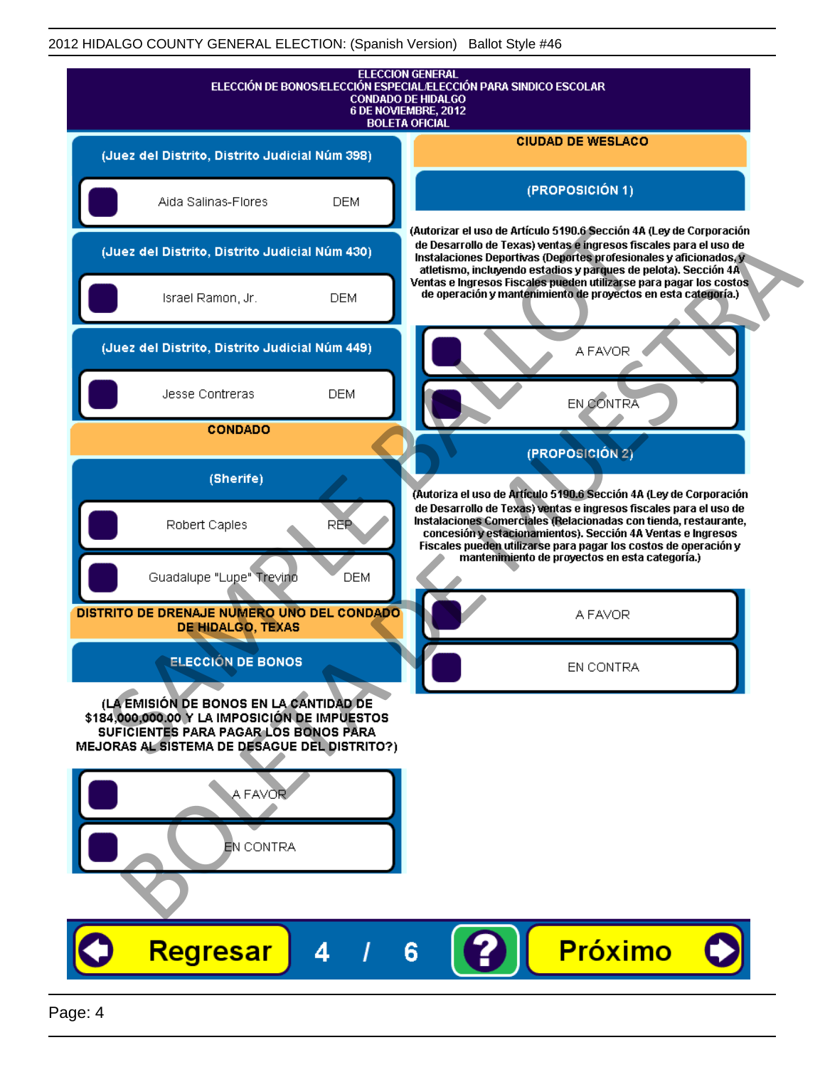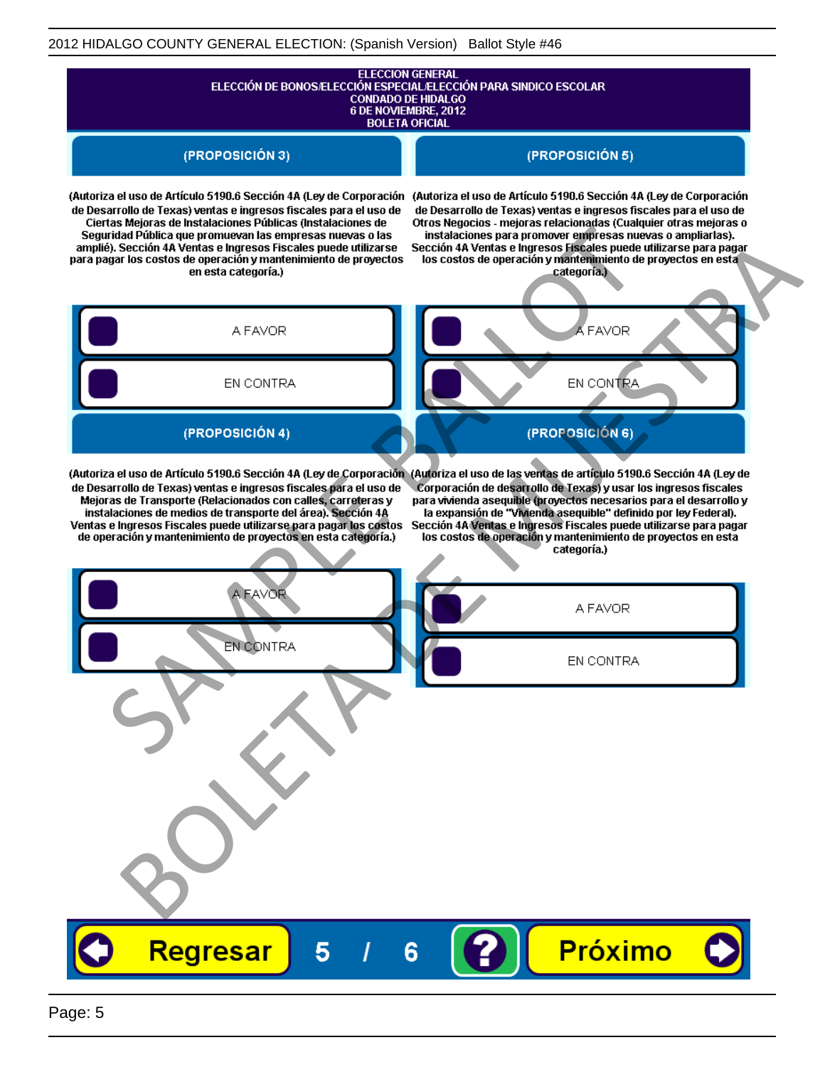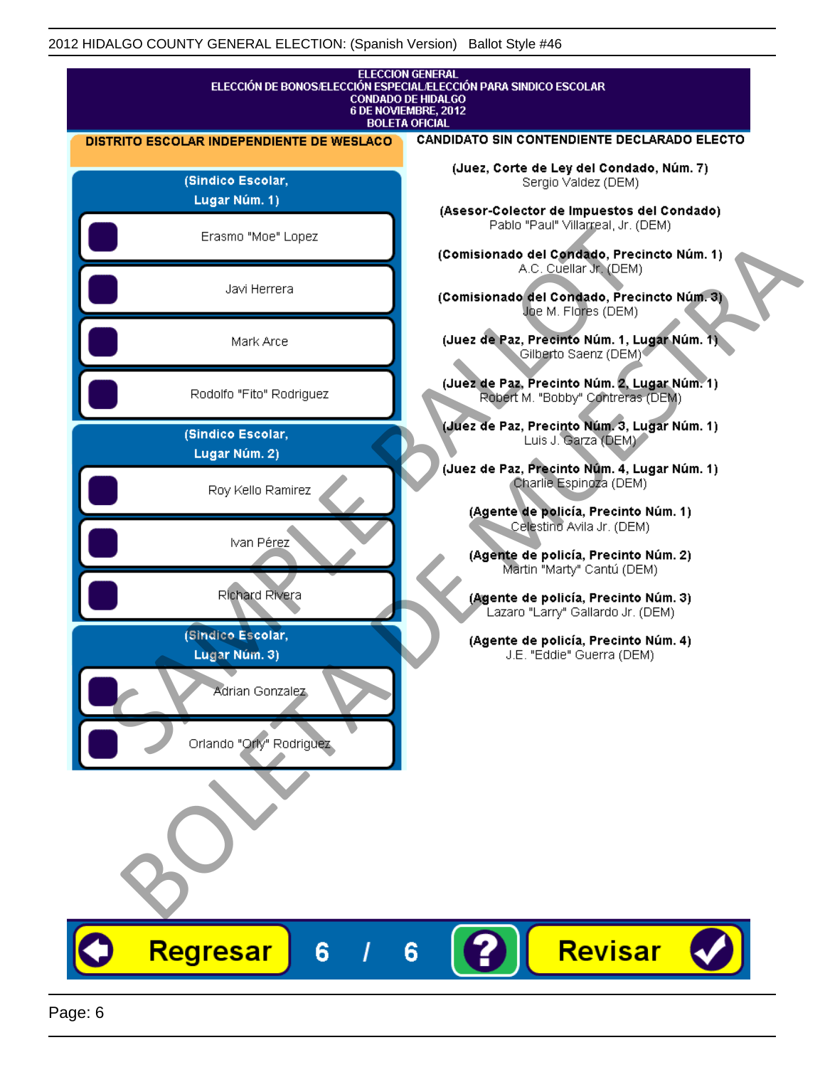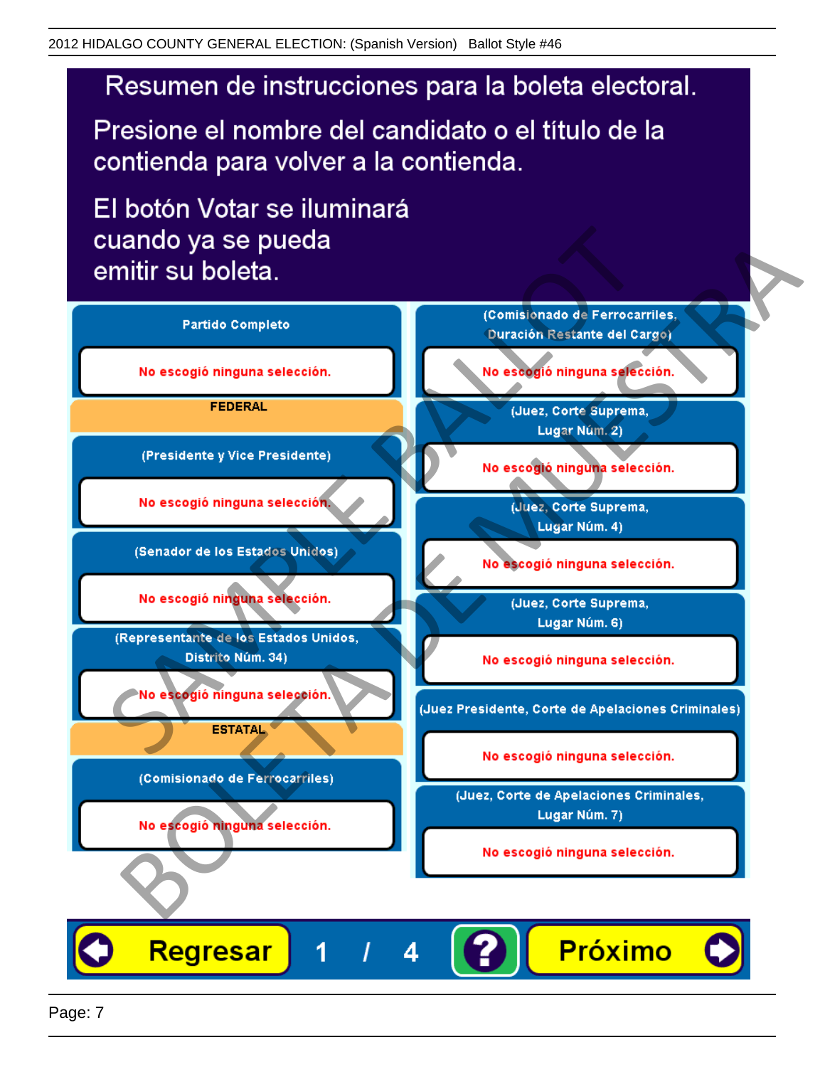Presione el nombre del candidato o el título de la contienda para volver a la contienda.

El botón Votar se iluminará

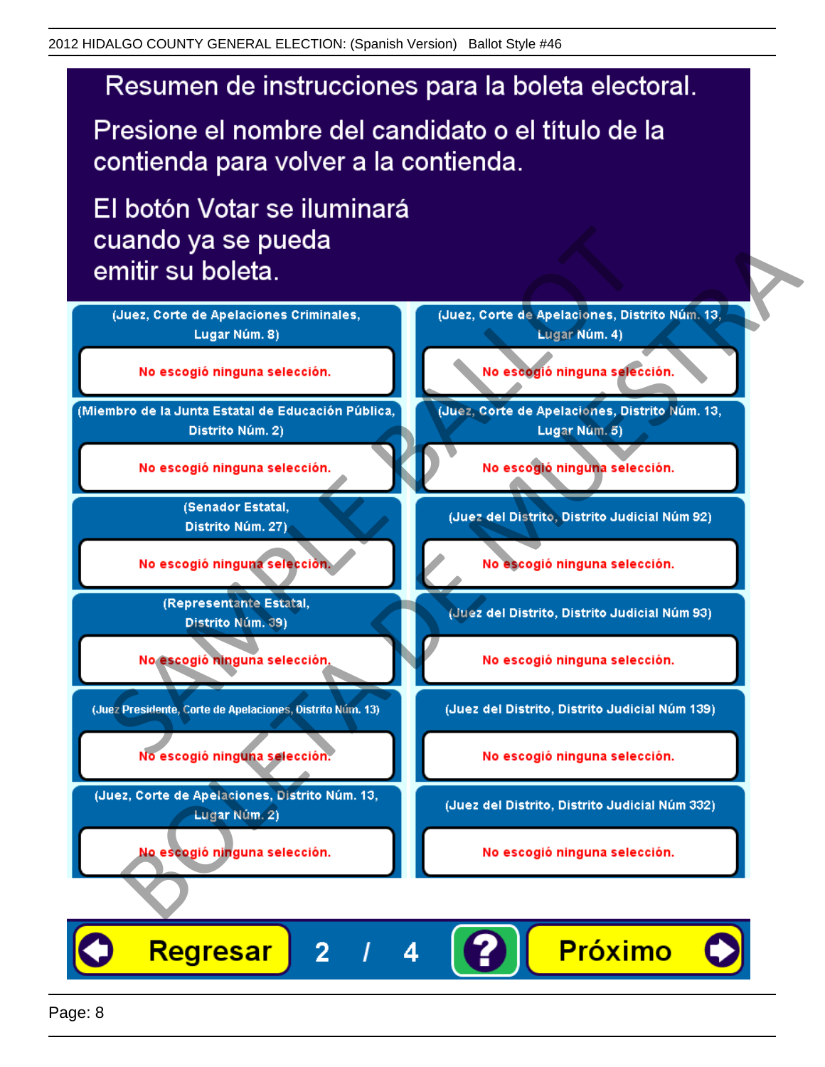Presione el nombre del candidato o el título de la contienda para volver a la contienda.

El botón Votar se iluminará



4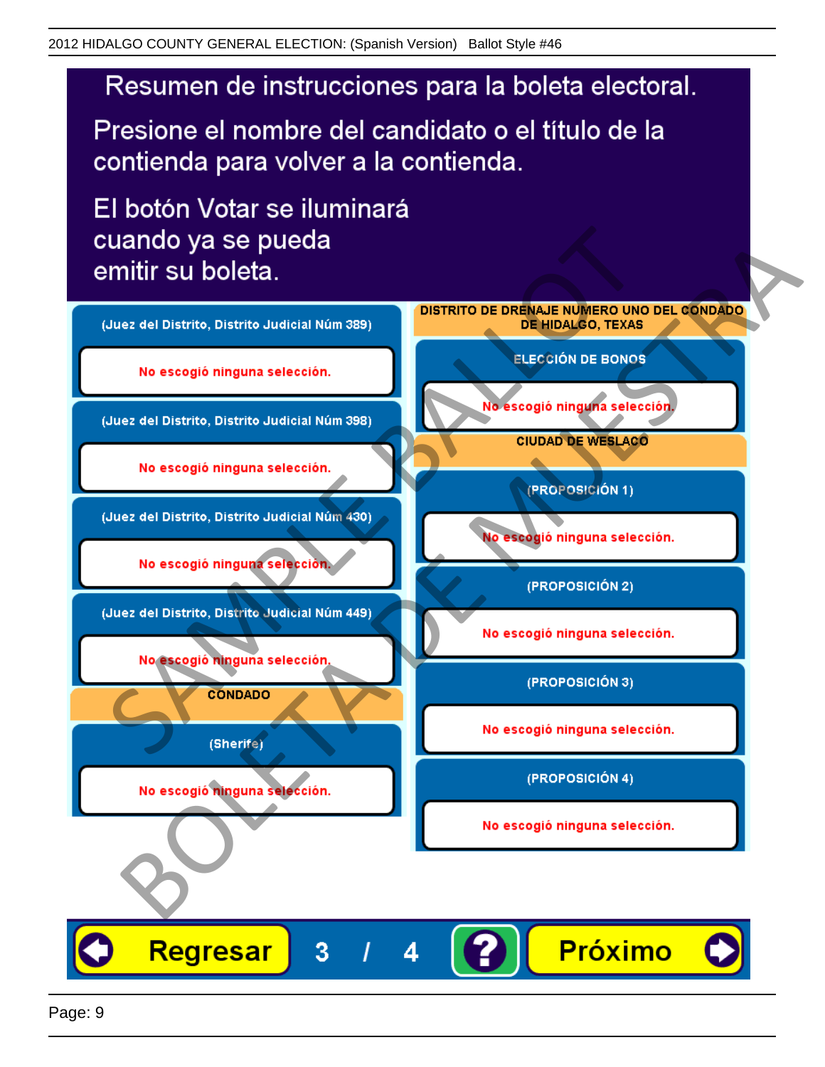Presione el nombre del candidato o el título de la contienda para volver a la contienda.

El botón Votar se iluminará